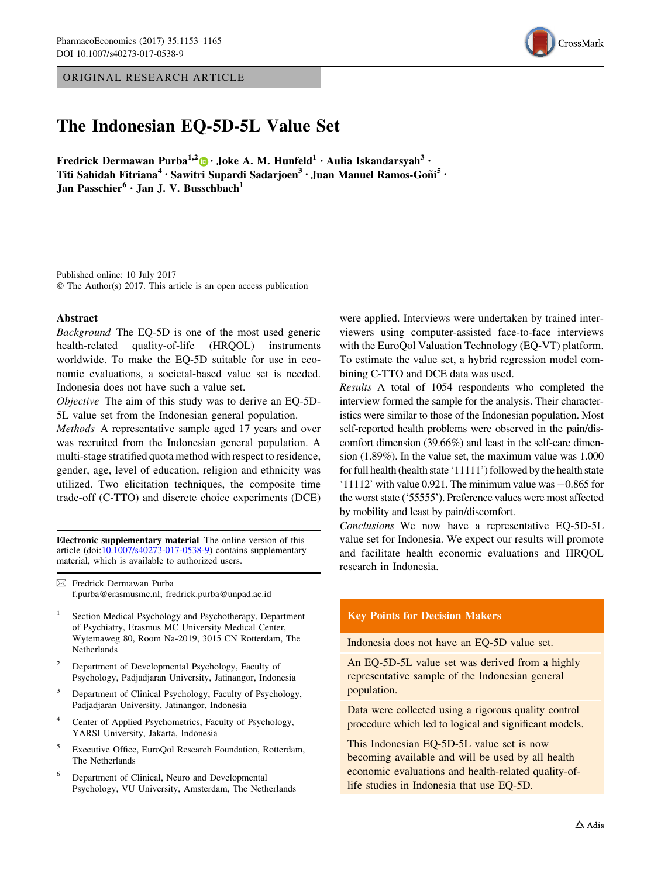ORIGINAL RESEARCH ARTICLE



# The Indonesian EQ-5D-5L Value Set

Fredrick Dermawan Purba<sup>1,2</sup> $\bullet$  Joke A. M. Hunfeld<sup>1</sup> · Aulia Iskandarsyah<sup>3</sup> · Titi Sahidah Fitriana $^4$  • Sawitri Supardi Sadarjoen $^3$  • Juan Manuel Ramos-Goñi $^5$  • Jan Passchier<sup>6</sup> · Jan J. V. Busschbach<sup>1</sup>

Published online: 10 July 2017 © The Author(s) 2017. This article is an open access publication

#### Abstract

Background The EQ-5D is one of the most used generic health-related quality-of-life (HRQOL) instruments worldwide. To make the EQ-5D suitable for use in economic evaluations, a societal-based value set is needed. Indonesia does not have such a value set.

Objective The aim of this study was to derive an EQ-5D-5L value set from the Indonesian general population.

Methods A representative sample aged 17 years and over was recruited from the Indonesian general population. A multi-stage stratified quota method with respect to residence, gender, age, level of education, religion and ethnicity was utilized. Two elicitation techniques, the composite time trade-off (C-TTO) and discrete choice experiments (DCE)

Electronic supplementary material The online version of this article (doi:[10.1007/s40273-017-0538-9\)](http://dx.doi.org/10.1007/s40273-017-0538-9) contains supplementary material, which is available to authorized users.

 $\boxtimes$  Fredrick Dermawan Purba f.purba@erasmusmc.nl; fredrick.purba@unpad.ac.id

- <sup>1</sup> Section Medical Psychology and Psychotherapy, Department of Psychiatry, Erasmus MC University Medical Center, Wytemaweg 80, Room Na-2019, 3015 CN Rotterdam, The **Netherlands**
- <sup>2</sup> Department of Developmental Psychology, Faculty of Psychology, Padjadjaran University, Jatinangor, Indonesia
- <sup>3</sup> Department of Clinical Psychology, Faculty of Psychology, Padjadjaran University, Jatinangor, Indonesia
- Center of Applied Psychometrics, Faculty of Psychology, YARSI University, Jakarta, Indonesia
- <sup>5</sup> Executive Office, EuroQol Research Foundation, Rotterdam, The Netherlands
- <sup>6</sup> Department of Clinical, Neuro and Developmental Psychology, VU University, Amsterdam, The Netherlands

were applied. Interviews were undertaken by trained interviewers using computer-assisted face-to-face interviews with the EuroQol Valuation Technology (EQ-VT) platform. To estimate the value set, a hybrid regression model combining C-TTO and DCE data was used.

Results A total of 1054 respondents who completed the interview formed the sample for the analysis. Their characteristics were similar to those of the Indonesian population. Most self-reported health problems were observed in the pain/discomfort dimension (39.66%) and least in the self-care dimension (1.89%). In the value set, the maximum value was 1.000 for full health (health state '11111') followed by the health state '11112' with value  $0.921$ . The minimum value was  $-0.865$  for the worst state ('55555'). Preference values were most affected by mobility and least by pain/discomfort.

Conclusions We now have a representative EQ-5D-5L value set for Indonesia. We expect our results will promote and facilitate health economic evaluations and HRQOL research in Indonesia.

# Key Points for Decision Makers

Indonesia does not have an EQ-5D value set.

An EQ-5D-5L value set was derived from a highly representative sample of the Indonesian general population.

Data were collected using a rigorous quality control procedure which led to logical and significant models.

This Indonesian EQ-5D-5L value set is now becoming available and will be used by all health economic evaluations and health-related quality-oflife studies in Indonesia that use EQ-5D.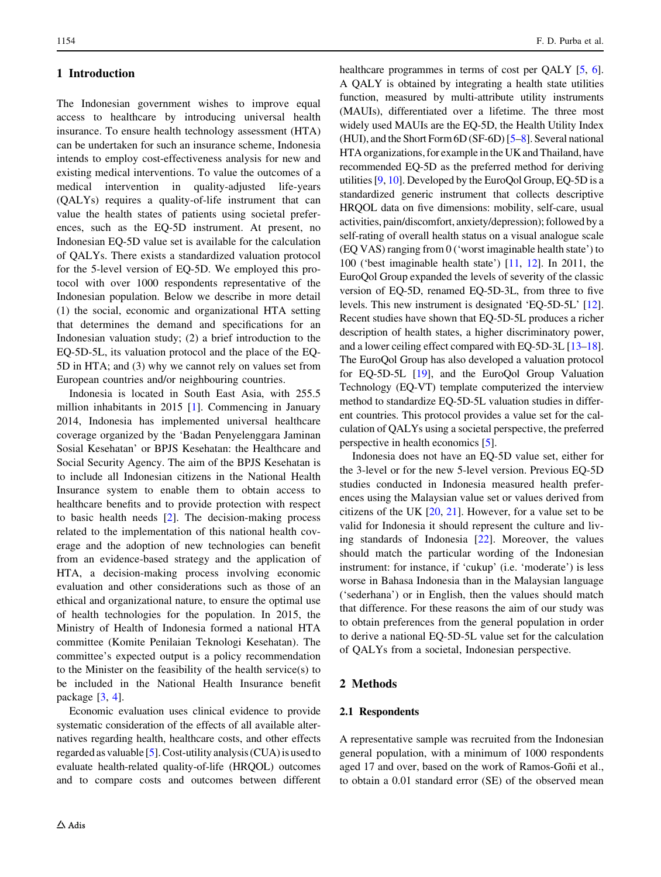# 1 Introduction

The Indonesian government wishes to improve equal access to healthcare by introducing universal health insurance. To ensure health technology assessment (HTA) can be undertaken for such an insurance scheme, Indonesia intends to employ cost-effectiveness analysis for new and existing medical interventions. To value the outcomes of a medical intervention in quality-adjusted life-years (QALYs) requires a quality-of-life instrument that can value the health states of patients using societal preferences, such as the EQ-5D instrument. At present, no Indonesian EQ-5D value set is available for the calculation of QALYs. There exists a standardized valuation protocol for the 5-level version of EQ-5D. We employed this protocol with over 1000 respondents representative of the Indonesian population. Below we describe in more detail (1) the social, economic and organizational HTA setting that determines the demand and specifications for an Indonesian valuation study; (2) a brief introduction to the EQ-5D-5L, its valuation protocol and the place of the EQ-5D in HTA; and (3) why we cannot rely on values set from European countries and/or neighbouring countries.

Indonesia is located in South East Asia, with 255.5 million inhabitants in 2015 [\[1](#page-11-0)]. Commencing in January 2014, Indonesia has implemented universal healthcare coverage organized by the 'Badan Penyelenggara Jaminan Sosial Kesehatan' or BPJS Kesehatan: the Healthcare and Social Security Agency. The aim of the BPJS Kesehatan is to include all Indonesian citizens in the National Health Insurance system to enable them to obtain access to healthcare benefits and to provide protection with respect to basic health needs [[2\]](#page-11-0). The decision-making process related to the implementation of this national health coverage and the adoption of new technologies can benefit from an evidence-based strategy and the application of HTA, a decision-making process involving economic evaluation and other considerations such as those of an ethical and organizational nature, to ensure the optimal use of health technologies for the population. In 2015, the Ministry of Health of Indonesia formed a national HTA committee (Komite Penilaian Teknologi Kesehatan). The committee's expected output is a policy recommendation to the Minister on the feasibility of the health service(s) to be included in the National Health Insurance benefit package [[3,](#page-11-0) [4](#page-11-0)].

Economic evaluation uses clinical evidence to provide systematic consideration of the effects of all available alternatives regarding health, healthcare costs, and other effects regarded as valuable  $[5]$  $[5]$ . Cost-utility analysis (CUA) is used to evaluate health-related quality-of-life (HRQOL) outcomes and to compare costs and outcomes between different healthcare programmes in terms of cost per OALY [\[5](#page-11-0), [6\]](#page-11-0). A QALY is obtained by integrating a health state utilities function, measured by multi-attribute utility instruments (MAUIs), differentiated over a lifetime. The three most widely used MAUIs are the EQ-5D, the Health Utility Index (HUI), and the Short Form 6D (SF-6D) [[5–8](#page-11-0)]. Several national HTA organizations, for example in the UK and Thailand, have recommended EQ-5D as the preferred method for deriving utilities [\[9](#page-11-0), [10](#page-11-0)]. Developed by the EuroQol Group, EQ-5D is a standardized generic instrument that collects descriptive HRQOL data on five dimensions: mobility, self-care, usual activities, pain/discomfort, anxiety/depression); followed by a self-rating of overall health status on a visual analogue scale (EQ VAS) ranging from 0 ('worst imaginable health state') to 100 ('best imaginable health state') [\[11](#page-11-0), [12](#page-11-0)]. In 2011, the EuroQol Group expanded the levels of severity of the classic version of EQ-5D, renamed EQ-5D-3L, from three to five levels. This new instrument is designated 'EQ-5D-5L' [[12\]](#page-11-0). Recent studies have shown that EQ-5D-5L produces a richer description of health states, a higher discriminatory power, and a lower ceiling effect compared with EQ-5D-3L [\[13–18\]](#page-11-0). The EuroQol Group has also developed a valuation protocol for EQ-5D-5L [\[19](#page-12-0)], and the EuroQol Group Valuation Technology (EQ-VT) template computerized the interview method to standardize EQ-5D-5L valuation studies in different countries. This protocol provides a value set for the calculation of QALYs using a societal perspective, the preferred perspective in health economics [\[5](#page-11-0)].

Indonesia does not have an EQ-5D value set, either for the 3-level or for the new 5-level version. Previous EQ-5D studies conducted in Indonesia measured health preferences using the Malaysian value set or values derived from citizens of the UK [[20,](#page-12-0) [21](#page-12-0)]. However, for a value set to be valid for Indonesia it should represent the culture and living standards of Indonesia [[22\]](#page-12-0). Moreover, the values should match the particular wording of the Indonesian instrument: for instance, if 'cukup' (i.e. 'moderate') is less worse in Bahasa Indonesia than in the Malaysian language ('sederhana') or in English, then the values should match that difference. For these reasons the aim of our study was to obtain preferences from the general population in order to derive a national EQ-5D-5L value set for the calculation of QALYs from a societal, Indonesian perspective.

# 2 Methods

## 2.1 Respondents

A representative sample was recruited from the Indonesian general population, with a minimum of 1000 respondents aged 17 and over, based on the work of Ramos-Goñi et al., to obtain a 0.01 standard error (SE) of the observed mean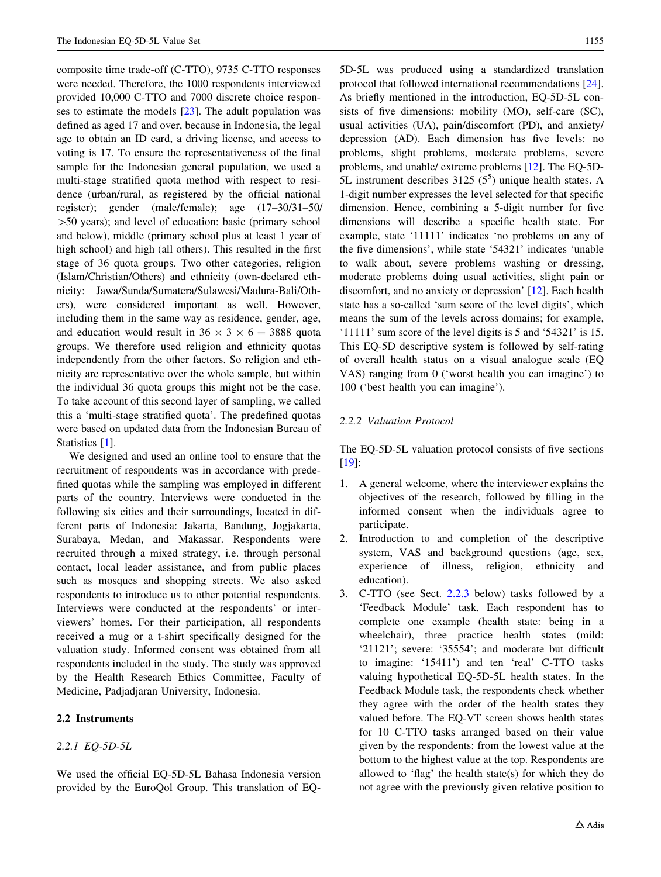<span id="page-2-0"></span>composite time trade-off (C-TTO), 9735 C-TTO responses were needed. Therefore, the 1000 respondents interviewed provided 10,000 C-TTO and 7000 discrete choice responses to estimate the models [[23\]](#page-12-0). The adult population was defined as aged 17 and over, because in Indonesia, the legal age to obtain an ID card, a driving license, and access to voting is 17. To ensure the representativeness of the final sample for the Indonesian general population, we used a multi-stage stratified quota method with respect to residence (urban/rural, as registered by the official national register); gender (male/female); age (17–30/31–50/  $>50$  years); and level of education: basic (primary school and below), middle (primary school plus at least 1 year of high school) and high (all others). This resulted in the first stage of 36 quota groups. Two other categories, religion (Islam/Christian/Others) and ethnicity (own-declared ethnicity: Jawa/Sunda/Sumatera/Sulawesi/Madura-Bali/Others), were considered important as well. However, including them in the same way as residence, gender, age, and education would result in  $36 \times 3 \times 6 = 3888$  quota groups. We therefore used religion and ethnicity quotas independently from the other factors. So religion and ethnicity are representative over the whole sample, but within the individual 36 quota groups this might not be the case. To take account of this second layer of sampling, we called this a 'multi-stage stratified quota'. The predefined quotas were based on updated data from the Indonesian Bureau of Statistics [[1\]](#page-11-0).

We designed and used an online tool to ensure that the recruitment of respondents was in accordance with predefined quotas while the sampling was employed in different parts of the country. Interviews were conducted in the following six cities and their surroundings, located in different parts of Indonesia: Jakarta, Bandung, Jogjakarta, Surabaya, Medan, and Makassar. Respondents were recruited through a mixed strategy, i.e. through personal contact, local leader assistance, and from public places such as mosques and shopping streets. We also asked respondents to introduce us to other potential respondents. Interviews were conducted at the respondents' or interviewers' homes. For their participation, all respondents received a mug or a t-shirt specifically designed for the valuation study. Informed consent was obtained from all respondents included in the study. The study was approved by the Health Research Ethics Committee, Faculty of Medicine, Padjadjaran University, Indonesia.

# 2.2 Instruments

# 2.2.1 EQ-5D-5L

We used the official EQ-5D-5L Bahasa Indonesia version provided by the EuroQol Group. This translation of EQ- 5D-5L was produced using a standardized translation protocol that followed international recommendations [\[24](#page-12-0)]. As briefly mentioned in the introduction, EQ-5D-5L consists of five dimensions: mobility (MO), self-care (SC), usual activities (UA), pain/discomfort (PD), and anxiety/ depression (AD). Each dimension has five levels: no problems, slight problems, moderate problems, severe problems, and unable/ extreme problems [[12\]](#page-11-0). The EQ-5D-5L instrument describes  $3125(5^5)$  unique health states. A 1-digit number expresses the level selected for that specific dimension. Hence, combining a 5-digit number for five dimensions will describe a specific health state. For example, state '11111' indicates 'no problems on any of the five dimensions', while state '54321' indicates 'unable to walk about, severe problems washing or dressing, moderate problems doing usual activities, slight pain or discomfort, and no anxiety or depression' [[12\]](#page-11-0). Each health state has a so-called 'sum score of the level digits', which means the sum of the levels across domains; for example, '11111' sum score of the level digits is 5 and '54321' is 15. This EQ-5D descriptive system is followed by self-rating of overall health status on a visual analogue scale (EQ VAS) ranging from 0 ('worst health you can imagine') to 100 ('best health you can imagine').

## 2.2.2 Valuation Protocol

The EQ-5D-5L valuation protocol consists of five sections [\[19](#page-12-0)]:

- 1. A general welcome, where the interviewer explains the objectives of the research, followed by filling in the informed consent when the individuals agree to participate.
- 2. Introduction to and completion of the descriptive system, VAS and background questions (age, sex, experience of illness, religion, ethnicity and education).
- 3. C-TTO (see Sect. [2.2.3](#page-3-0) below) tasks followed by a 'Feedback Module' task. Each respondent has to complete one example (health state: being in a wheelchair), three practice health states (mild: '21121'; severe: '35554'; and moderate but difficult to imagine: '15411') and ten 'real' C-TTO tasks valuing hypothetical EQ-5D-5L health states. In the Feedback Module task, the respondents check whether they agree with the order of the health states they valued before. The EQ-VT screen shows health states for 10 C-TTO tasks arranged based on their value given by the respondents: from the lowest value at the bottom to the highest value at the top. Respondents are allowed to 'flag' the health state(s) for which they do not agree with the previously given relative position to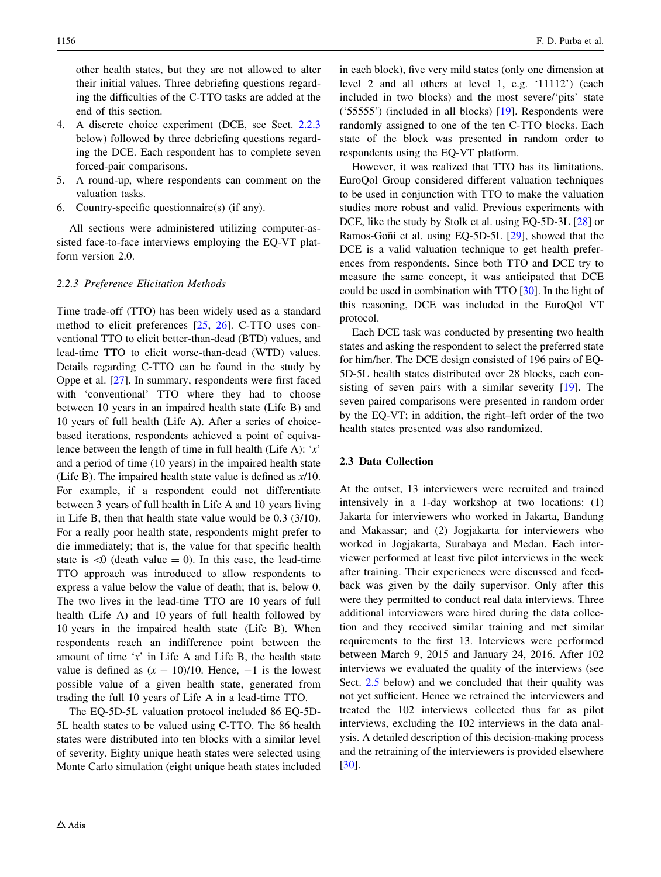<span id="page-3-0"></span>other health states, but they are not allowed to alter their initial values. Three debriefing questions regarding the difficulties of the C-TTO tasks are added at the end of this section.

- 4. A discrete choice experiment (DCE, see Sect. [2.2.3](#page-2-0) below) followed by three debriefing questions regarding the DCE. Each respondent has to complete seven forced-pair comparisons.
- 5. A round-up, where respondents can comment on the valuation tasks.
- 6. Country-specific questionnaire(s) (if any).

All sections were administered utilizing computer-assisted face-to-face interviews employing the EQ-VT platform version 2.0.

# 2.2.3 Preference Elicitation Methods

Time trade-off (TTO) has been widely used as a standard method to elicit preferences [[25](#page-12-0), [26\]](#page-12-0). C-TTO uses conventional TTO to elicit better-than-dead (BTD) values, and lead-time TTO to elicit worse-than-dead (WTD) values. Details regarding C-TTO can be found in the study by Oppe et al. [\[27](#page-12-0)]. In summary, respondents were first faced with 'conventional' TTO where they had to choose between 10 years in an impaired health state (Life B) and 10 years of full health (Life A). After a series of choicebased iterations, respondents achieved a point of equivalence between the length of time in full health (Life A):  $x'$ and a period of time (10 years) in the impaired health state (Life B). The impaired health state value is defined as x/10. For example, if a respondent could not differentiate between 3 years of full health in Life A and 10 years living in Life B, then that health state value would be 0.3 (3/10). For a really poor health state, respondents might prefer to die immediately; that is, the value for that specific health state is  $\langle 0 \rangle$  (death value = 0). In this case, the lead-time TTO approach was introduced to allow respondents to express a value below the value of death; that is, below 0. The two lives in the lead-time TTO are 10 years of full health (Life A) and 10 years of full health followed by 10 years in the impaired health state (Life B). When respondents reach an indifference point between the amount of time ' $x$ ' in Life A and Life B, the health state value is defined as  $(x - 10)/10$ . Hence,  $-1$  is the lowest possible value of a given health state, generated from trading the full 10 years of Life A in a lead-time TTO.

The EQ-5D-5L valuation protocol included 86 EQ-5D-5L health states to be valued using C-TTO. The 86 health states were distributed into ten blocks with a similar level of severity. Eighty unique heath states were selected using Monte Carlo simulation (eight unique heath states included in each block), five very mild states (only one dimension at level 2 and all others at level 1, e.g. '11112') (each included in two blocks) and the most severe/'pits' state ('55555') (included in all blocks) [[19\]](#page-12-0). Respondents were randomly assigned to one of the ten C-TTO blocks. Each state of the block was presented in random order to respondents using the EQ-VT platform.

However, it was realized that TTO has its limitations. EuroQol Group considered different valuation techniques to be used in conjunction with TTO to make the valuation studies more robust and valid. Previous experiments with DCE, like the study by Stolk et al. using EQ-5D-3L [\[28](#page-12-0)] or Ramos-Goñi et al. using EQ-5D-5L [\[29](#page-12-0)], showed that the DCE is a valid valuation technique to get health preferences from respondents. Since both TTO and DCE try to measure the same concept, it was anticipated that DCE could be used in combination with TTO [[30](#page-12-0)]. In the light of this reasoning, DCE was included in the EuroQol VT protocol.

Each DCE task was conducted by presenting two health states and asking the respondent to select the preferred state for him/her. The DCE design consisted of 196 pairs of EQ-5D-5L health states distributed over 28 blocks, each consisting of seven pairs with a similar severity [[19\]](#page-12-0). The seven paired comparisons were presented in random order by the EQ-VT; in addition, the right–left order of the two health states presented was also randomized.

# 2.3 Data Collection

At the outset, 13 interviewers were recruited and trained intensively in a 1-day workshop at two locations: (1) Jakarta for interviewers who worked in Jakarta, Bandung and Makassar; and (2) Jogjakarta for interviewers who worked in Jogjakarta, Surabaya and Medan. Each interviewer performed at least five pilot interviews in the week after training. Their experiences were discussed and feedback was given by the daily supervisor. Only after this were they permitted to conduct real data interviews. Three additional interviewers were hired during the data collection and they received similar training and met similar requirements to the first 13. Interviews were performed between March 9, 2015 and January 24, 2016. After 102 interviews we evaluated the quality of the interviews (see Sect. [2.5](#page-4-0) below) and we concluded that their quality was not yet sufficient. Hence we retrained the interviewers and treated the 102 interviews collected thus far as pilot interviews, excluding the 102 interviews in the data analysis. A detailed description of this decision-making process and the retraining of the interviewers is provided elsewhere [\[30](#page-12-0)].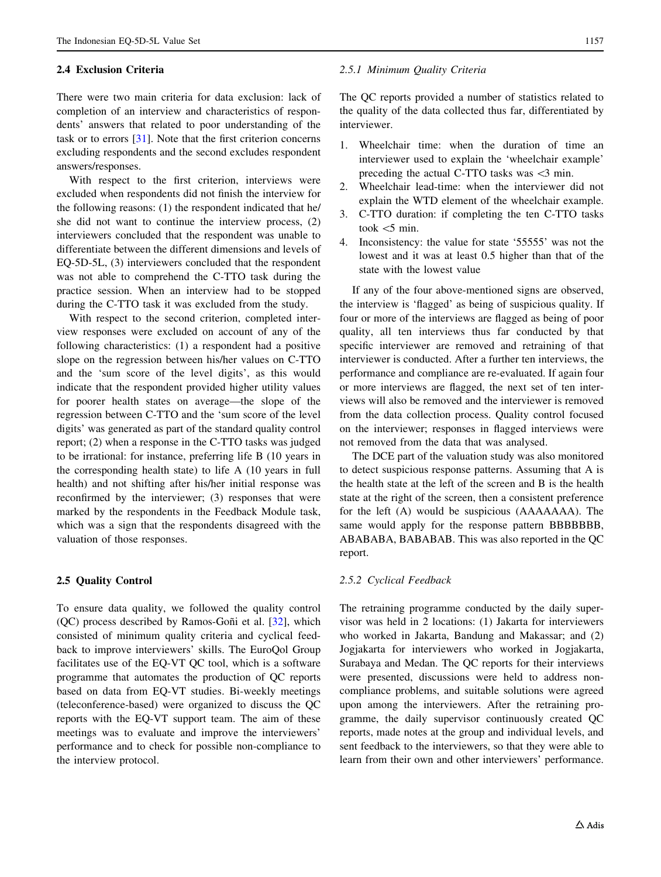### <span id="page-4-0"></span>2.4 Exclusion Criteria

There were two main criteria for data exclusion: lack of completion of an interview and characteristics of respondents' answers that related to poor understanding of the task or to errors [[31](#page-12-0)]. Note that the first criterion concerns excluding respondents and the second excludes respondent answers/responses.

With respect to the first criterion, interviews were excluded when respondents did not finish the interview for the following reasons: (1) the respondent indicated that he/ she did not want to continue the interview process, (2) interviewers concluded that the respondent was unable to differentiate between the different dimensions and levels of EQ-5D-5L, (3) interviewers concluded that the respondent was not able to comprehend the C-TTO task during the practice session. When an interview had to be stopped during the C-TTO task it was excluded from the study.

With respect to the second criterion, completed interview responses were excluded on account of any of the following characteristics: (1) a respondent had a positive slope on the regression between his/her values on C-TTO and the 'sum score of the level digits', as this would indicate that the respondent provided higher utility values for poorer health states on average—the slope of the regression between C-TTO and the 'sum score of the level digits' was generated as part of the standard quality control report; (2) when a response in the C-TTO tasks was judged to be irrational: for instance, preferring life B (10 years in the corresponding health state) to life A (10 years in full health) and not shifting after his/her initial response was reconfirmed by the interviewer; (3) responses that were marked by the respondents in the Feedback Module task, which was a sign that the respondents disagreed with the valuation of those responses.

#### 2.5 Quality Control

To ensure data quality, we followed the quality control  $(QC)$  process described by Ramos-Goñi et al.  $[32]$  $[32]$ , which consisted of minimum quality criteria and cyclical feedback to improve interviewers' skills. The EuroQol Group facilitates use of the EQ-VT QC tool, which is a software programme that automates the production of QC reports based on data from EQ-VT studies. Bi-weekly meetings (teleconference-based) were organized to discuss the QC reports with the EQ-VT support team. The aim of these meetings was to evaluate and improve the interviewers' performance and to check for possible non-compliance to the interview protocol.

#### 2.5.1 Minimum Quality Criteria

The QC reports provided a number of statistics related to the quality of the data collected thus far, differentiated by interviewer.

- 1. Wheelchair time: when the duration of time an interviewer used to explain the 'wheelchair example' preceding the actual C-TTO tasks was  $\leq$ 3 min.
- 2. Wheelchair lead-time: when the interviewer did not explain the WTD element of the wheelchair example.
- 3. C-TTO duration: if completing the ten C-TTO tasks took  $\lt$  5 min.
- 4. Inconsistency: the value for state '55555' was not the lowest and it was at least 0.5 higher than that of the state with the lowest value

If any of the four above-mentioned signs are observed, the interview is 'flagged' as being of suspicious quality. If four or more of the interviews are flagged as being of poor quality, all ten interviews thus far conducted by that specific interviewer are removed and retraining of that interviewer is conducted. After a further ten interviews, the performance and compliance are re-evaluated. If again four or more interviews are flagged, the next set of ten interviews will also be removed and the interviewer is removed from the data collection process. Quality control focused on the interviewer; responses in flagged interviews were not removed from the data that was analysed.

The DCE part of the valuation study was also monitored to detect suspicious response patterns. Assuming that A is the health state at the left of the screen and B is the health state at the right of the screen, then a consistent preference for the left (A) would be suspicious (AAAAAAA). The same would apply for the response pattern BBBBBBB, ABABABA, BABABAB. This was also reported in the QC report.

#### 2.5.2 Cyclical Feedback

The retraining programme conducted by the daily supervisor was held in 2 locations: (1) Jakarta for interviewers who worked in Jakarta, Bandung and Makassar; and (2) Jogjakarta for interviewers who worked in Jogjakarta, Surabaya and Medan. The QC reports for their interviews were presented, discussions were held to address noncompliance problems, and suitable solutions were agreed upon among the interviewers. After the retraining programme, the daily supervisor continuously created QC reports, made notes at the group and individual levels, and sent feedback to the interviewers, so that they were able to learn from their own and other interviewers' performance.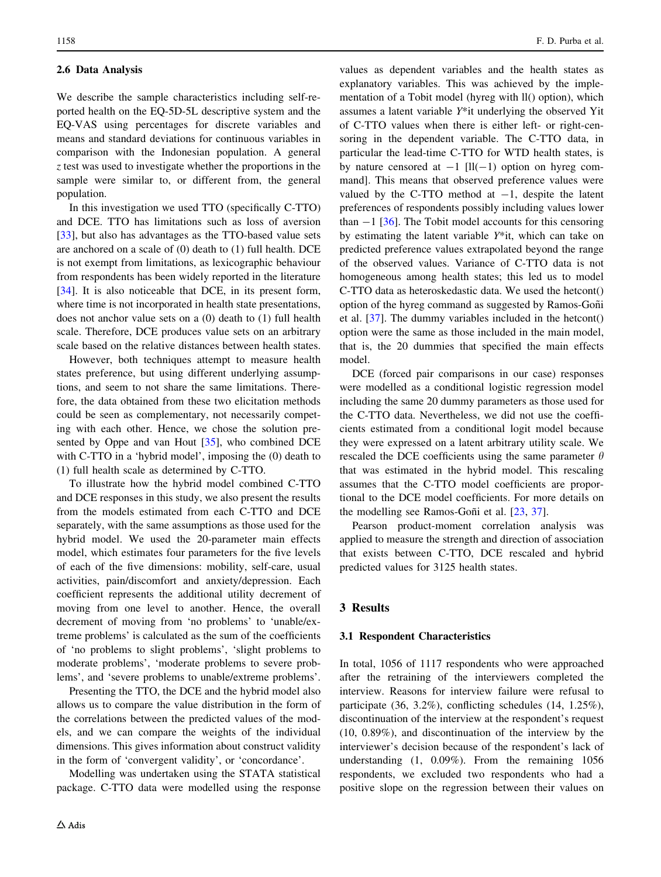## 2.6 Data Analysis

We describe the sample characteristics including self-reported health on the EQ-5D-5L descriptive system and the EQ-VAS using percentages for discrete variables and means and standard deviations for continuous variables in comparison with the Indonesian population. A general z test was used to investigate whether the proportions in the sample were similar to, or different from, the general population.

In this investigation we used TTO (specifically C-TTO) and DCE. TTO has limitations such as loss of aversion [\[33](#page-12-0)], but also has advantages as the TTO-based value sets are anchored on a scale of (0) death to (1) full health. DCE is not exempt from limitations, as lexicographic behaviour from respondents has been widely reported in the literature [\[34](#page-12-0)]. It is also noticeable that DCE, in its present form, where time is not incorporated in health state presentations, does not anchor value sets on a (0) death to (1) full health scale. Therefore, DCE produces value sets on an arbitrary scale based on the relative distances between health states.

However, both techniques attempt to measure health states preference, but using different underlying assumptions, and seem to not share the same limitations. Therefore, the data obtained from these two elicitation methods could be seen as complementary, not necessarily competing with each other. Hence, we chose the solution presented by Oppe and van Hout [[35\]](#page-12-0), who combined DCE with C-TTO in a 'hybrid model', imposing the (0) death to (1) full health scale as determined by C-TTO.

To illustrate how the hybrid model combined C-TTO and DCE responses in this study, we also present the results from the models estimated from each C-TTO and DCE separately, with the same assumptions as those used for the hybrid model. We used the 20-parameter main effects model, which estimates four parameters for the five levels of each of the five dimensions: mobility, self-care, usual activities, pain/discomfort and anxiety/depression. Each coefficient represents the additional utility decrement of moving from one level to another. Hence, the overall decrement of moving from 'no problems' to 'unable/extreme problems' is calculated as the sum of the coefficients of 'no problems to slight problems', 'slight problems to moderate problems', 'moderate problems to severe problems', and 'severe problems to unable/extreme problems'.

Presenting the TTO, the DCE and the hybrid model also allows us to compare the value distribution in the form of the correlations between the predicted values of the models, and we can compare the weights of the individual dimensions. This gives information about construct validity in the form of 'convergent validity', or 'concordance'.

Modelling was undertaken using the STATA statistical package. C-TTO data were modelled using the response

values as dependent variables and the health states as explanatory variables. This was achieved by the implementation of a Tobit model (hyreg with ll() option), which assumes a latent variable Y\*it underlying the observed Yit of C-TTO values when there is either left- or right-censoring in the dependent variable. The C-TTO data, in particular the lead-time C-TTO for WTD health states, is by nature censored at  $-1$  [ll(-1) option on hyreg command]. This means that observed preference values were valued by the C-TTO method at  $-1$ , despite the latent preferences of respondents possibly including values lower than  $-1$  [\[36](#page-12-0)]. The Tobit model accounts for this censoring by estimating the latent variable Y\*it, which can take on predicted preference values extrapolated beyond the range of the observed values. Variance of C-TTO data is not homogeneous among health states; this led us to model C-TTO data as heteroskedastic data. We used the hetcont() option of the hyreg command as suggested by Ramos-Goñi et al. [[37\]](#page-12-0). The dummy variables included in the hetcont() option were the same as those included in the main model, that is, the 20 dummies that specified the main effects model.

DCE (forced pair comparisons in our case) responses were modelled as a conditional logistic regression model including the same 20 dummy parameters as those used for the C-TTO data. Nevertheless, we did not use the coefficients estimated from a conditional logit model because they were expressed on a latent arbitrary utility scale. We rescaled the DCE coefficients using the same parameter  $\theta$ that was estimated in the hybrid model. This rescaling assumes that the C-TTO model coefficients are proportional to the DCE model coefficients. For more details on the modelling see Ramos-Goñi et al.  $[23, 37]$  $[23, 37]$  $[23, 37]$ .

Pearson product-moment correlation analysis was applied to measure the strength and direction of association that exists between C-TTO, DCE rescaled and hybrid predicted values for 3125 health states.

## 3 Results

#### 3.1 Respondent Characteristics

In total, 1056 of 1117 respondents who were approached after the retraining of the interviewers completed the interview. Reasons for interview failure were refusal to participate (36, 3.2%), conflicting schedules (14, 1.25%), discontinuation of the interview at the respondent's request (10, 0.89%), and discontinuation of the interview by the interviewer's decision because of the respondent's lack of understanding (1, 0.09%). From the remaining 1056 respondents, we excluded two respondents who had a positive slope on the regression between their values on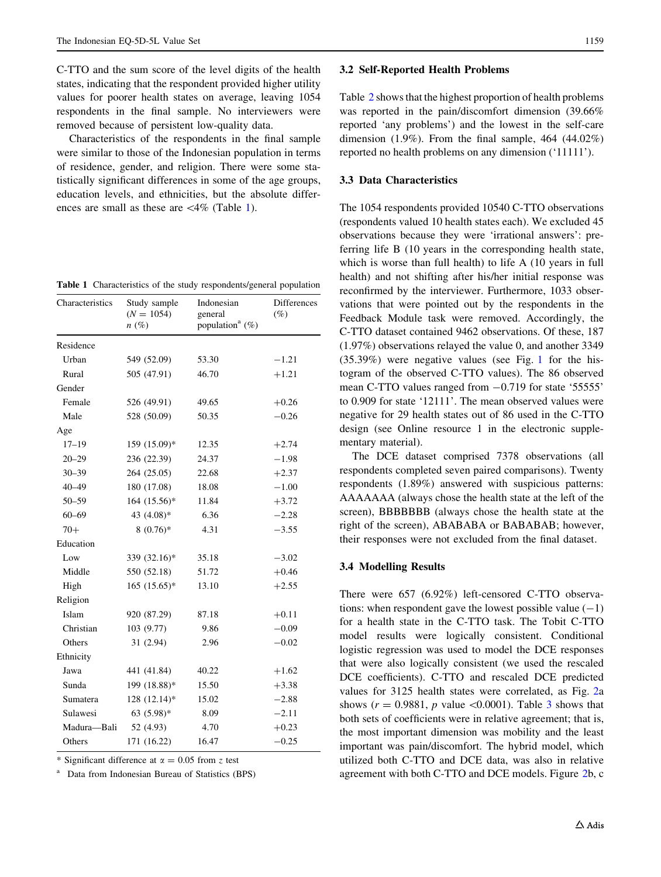<span id="page-6-0"></span>C-TTO and the sum score of the level digits of the health states, indicating that the respondent provided higher utility values for poorer health states on average, leaving 1054 respondents in the final sample. No interviewers were removed because of persistent low-quality data.

Characteristics of the respondents in the final sample were similar to those of the Indonesian population in terms of residence, gender, and religion. There were some statistically significant differences in some of the age groups, education levels, and ethnicities, but the absolute differences are small as these are  $\langle 4\%$  (Table 1).

Table 1 Characteristics of the study respondents/general population

| Characteristics | Study sample<br>$(N = 1054)$<br>$n(\%)$ | Indonesian<br>general<br>population <sup>a</sup> $(\%)$ | <b>Differences</b><br>$(\%)$ |  |  |
|-----------------|-----------------------------------------|---------------------------------------------------------|------------------------------|--|--|
| Residence       |                                         |                                                         |                              |  |  |
| Urban           | 549 (52.09)                             | 53.30                                                   | $-1.21$                      |  |  |
| Rural           | 505 (47.91)                             | 46.70                                                   | $+1.21$                      |  |  |
| Gender          |                                         |                                                         |                              |  |  |
| Female          | 526 (49.91)                             | 49.65                                                   | $+0.26$                      |  |  |
| Male            | 528 (50.09)                             | 50.35                                                   | $-0.26$                      |  |  |
| Age             |                                         |                                                         |                              |  |  |
| $17 - 19$       | 159 (15.09)*                            | 12.35                                                   | $+2.74$                      |  |  |
| $20 - 29$       | 236 (22.39)                             | 24.37                                                   | $-1.98$                      |  |  |
| $30 - 39$       | 264 (25.05)                             | 22.68                                                   | $+2.37$                      |  |  |
| $40 - 49$       | 180 (17.08)                             | 18.08                                                   | $-1.00$                      |  |  |
| $50 - 59$       | 164 (15.56)*                            | 11.84                                                   | $+3.72$                      |  |  |
| $60 - 69$       | 43 (4.08)*                              | 6.36                                                    | $-2.28$                      |  |  |
| $70+$           | $8(0.76)$ *                             | 4.31                                                    | $-3.55$                      |  |  |
| Education       |                                         |                                                         |                              |  |  |
| Low             | 339 (32.16)*                            | 35.18                                                   | $-3.02$                      |  |  |
| Middle          | 550 (52.18)                             | 51.72                                                   | $+0.46$                      |  |  |
| High            | $165 (15.65)^*$                         | 13.10                                                   | $+2.55$                      |  |  |
| Religion        |                                         |                                                         |                              |  |  |
| Islam           | 920 (87.29)                             | 87.18                                                   | $+0.11$                      |  |  |
| Christian       | 103 (9.77)                              | 9.86                                                    | $-0.09$                      |  |  |
| Others          | 31 (2.94)                               | 2.96                                                    | $-0.02$                      |  |  |
| Ethnicity       |                                         |                                                         |                              |  |  |
| Jawa            | 441 (41.84)                             | 40.22                                                   | $+1.62$                      |  |  |
| Sunda           | 199 (18.88)*                            | 15.50                                                   | $+3.38$                      |  |  |
| Sumatera        | 128 (12.14)*                            | 15.02                                                   | $-2.88$                      |  |  |
| Sulawesi        | 63 $(5.98)$ *                           | 8.09                                                    | $-2.11$                      |  |  |
| Madura-Bali     | 52 (4.93)                               | 4.70                                                    | $+0.23$                      |  |  |
| Others          | 171 (16.22)                             | 16.47                                                   | $-0.25$                      |  |  |

\* Significant difference at  $\alpha = 0.05$  from z test

<sup>a</sup> Data from Indonesian Bureau of Statistics (BPS)

#### 3.2 Self-Reported Health Problems

Table [2](#page-7-0) shows that the highest proportion of health problems was reported in the pain/discomfort dimension (39.66% reported 'any problems') and the lowest in the self-care dimension  $(1.9\%)$ . From the final sample, 464  $(44.02\%)$ reported no health problems on any dimension ('11111').

# 3.3 Data Characteristics

The 1054 respondents provided 10540 C-TTO observations (respondents valued 10 health states each). We excluded 45 observations because they were 'irrational answers': preferring life B (10 years in the corresponding health state, which is worse than full health) to life A (10 years in full health) and not shifting after his/her initial response was reconfirmed by the interviewer. Furthermore, 1033 observations that were pointed out by the respondents in the Feedback Module task were removed. Accordingly, the C-TTO dataset contained 9462 observations. Of these, 187 (1.97%) observations relayed the value 0, and another 3349 (35.39%) were negative values (see Fig. [1](#page-7-0) for the histogram of the observed C-TTO values). The 86 observed mean C-TTO values ranged from  $-0.719$  for state '55555' to 0.909 for state '12111'. The mean observed values were negative for 29 health states out of 86 used in the C-TTO design (see Online resource 1 in the electronic supplementary material).

The DCE dataset comprised 7378 observations (all respondents completed seven paired comparisons). Twenty respondents (1.89%) answered with suspicious patterns: AAAAAAA (always chose the health state at the left of the screen), BBBBBBB (always chose the health state at the right of the screen), ABABABA or BABABAB; however, their responses were not excluded from the final dataset.

## 3.4 Modelling Results

There were 657 (6.92%) left-censored C-TTO observations: when respondent gave the lowest possible value  $(-1)$ for a health state in the C-TTO task. The Tobit C-TTO model results were logically consistent. Conditional logistic regression was used to model the DCE responses that were also logically consistent (we used the rescaled DCE coefficients). C-TTO and rescaled DCE predicted values for 3125 health states were correlated, as Fig. [2a](#page-8-0) shows ( $r = 0.9881$ , p value <0.0001). Table [3](#page-9-0) shows that both sets of coefficients were in relative agreement; that is, the most important dimension was mobility and the least important was pain/discomfort. The hybrid model, which utilized both C-TTO and DCE data, was also in relative agreement with both C-TTO and DCE models. Figure [2b](#page-8-0), c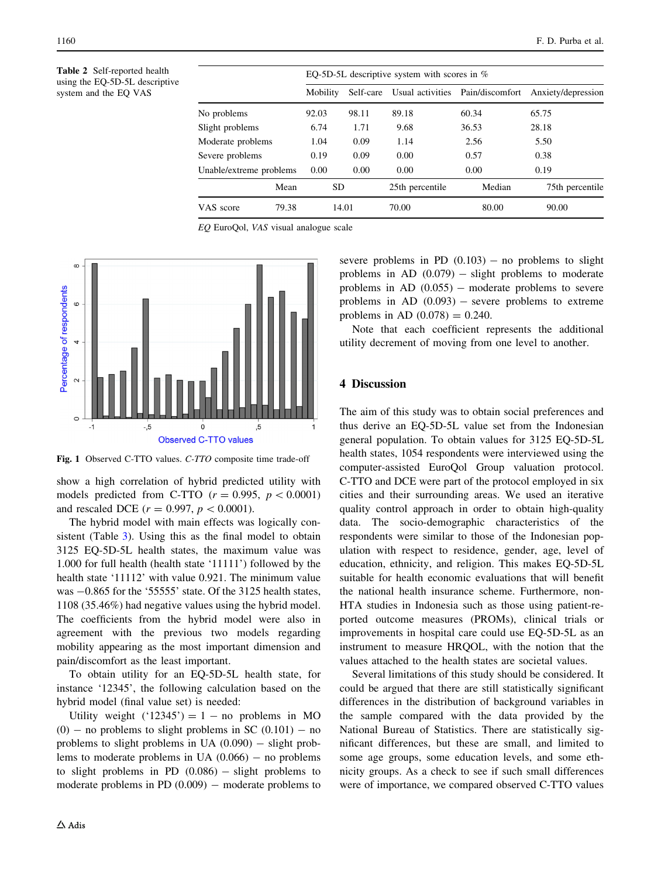<span id="page-7-0"></span>Table 2 Self-reported health using the EQ-5D-5L descriptive system and the EQ VAS

|                         |          | EQ-5D-5L descriptive system with scores in $%$ |           |                 |                                  |                    |  |  |
|-------------------------|----------|------------------------------------------------|-----------|-----------------|----------------------------------|--------------------|--|--|
|                         | Mobility |                                                | Self-care |                 | Usual activities Pain/discomfort | Anxiety/depression |  |  |
| No problems             |          | 92.03                                          | 98.11     | 89.18           | 60.34                            | 65.75              |  |  |
| Slight problems         |          | 6.74                                           | 1.71      | 9.68            | 36.53                            | 28.18              |  |  |
| Moderate problems       |          | 1.04                                           | 0.09      | 1.14            | 2.56                             | 5.50               |  |  |
| Severe problems         |          | 0.19                                           | 0.09      | 0.00            | 0.57                             | 0.38               |  |  |
| Unable/extreme problems |          | 0.00                                           | 0.00      | 0.00            | 0.00                             | 0.19               |  |  |
| Mean                    |          | SD.                                            |           | 25th percentile | Median                           | 75th percentile    |  |  |
| VAS score               | 79.38    | 14.01                                          |           | 70.00           | 80.00                            | 90.00              |  |  |

EQ EuroQol, VAS visual analogue scale



Fig. 1 Observed C-TTO values. C-TTO composite time trade-off

show a high correlation of hybrid predicted utility with models predicted from C-TTO  $(r = 0.995, p < 0.0001)$ and rescaled DCE  $(r = 0.997, p < 0.0001)$ .

The hybrid model with main effects was logically con-sistent (Table [3](#page-9-0)). Using this as the final model to obtain 3125 EQ-5D-5L health states, the maximum value was 1.000 for full health (health state '11111') followed by the health state '11112' with value 0.921. The minimum value was  $-0.865$  for the '55555' state. Of the 3125 health states, 1108 (35.46%) had negative values using the hybrid model. The coefficients from the hybrid model were also in agreement with the previous two models regarding mobility appearing as the most important dimension and pain/discomfort as the least important.

To obtain utility for an EQ-5D-5L health state, for instance '12345', the following calculation based on the hybrid model (final value set) is needed:

Utility weight  $('12345') = 1 -$  no problems in MO  $(0)$  – no problems to slight problems in SC  $(0.101)$  – no problems to slight problems in UA  $(0.090)$  - slight problems to moderate problems in UA  $(0.066)$  - no problems to slight problems in PD  $(0.086)$  – slight problems to moderate problems in PD  $(0.009)$  – moderate problems to

severe problems in PD  $(0.103)$  – no problems to slight problems in AD  $(0.079)$  – slight problems to moderate problems in AD  $(0.055)$  – moderate problems to severe problems in AD  $(0.093)$  – severe problems to extreme problems in AD  $(0.078) = 0.240$ .

Note that each coefficient represents the additional utility decrement of moving from one level to another.

# 4 Discussion

The aim of this study was to obtain social preferences and thus derive an EQ-5D-5L value set from the Indonesian general population. To obtain values for 3125 EQ-5D-5L health states, 1054 respondents were interviewed using the computer-assisted EuroQol Group valuation protocol. C-TTO and DCE were part of the protocol employed in six cities and their surrounding areas. We used an iterative quality control approach in order to obtain high-quality data. The socio-demographic characteristics of the respondents were similar to those of the Indonesian population with respect to residence, gender, age, level of education, ethnicity, and religion. This makes EQ-5D-5L suitable for health economic evaluations that will benefit the national health insurance scheme. Furthermore, non-HTA studies in Indonesia such as those using patient-reported outcome measures (PROMs), clinical trials or improvements in hospital care could use EQ-5D-5L as an instrument to measure HRQOL, with the notion that the values attached to the health states are societal values.

Several limitations of this study should be considered. It could be argued that there are still statistically significant differences in the distribution of background variables in the sample compared with the data provided by the National Bureau of Statistics. There are statistically significant differences, but these are small, and limited to some age groups, some education levels, and some ethnicity groups. As a check to see if such small differences were of importance, we compared observed C-TTO values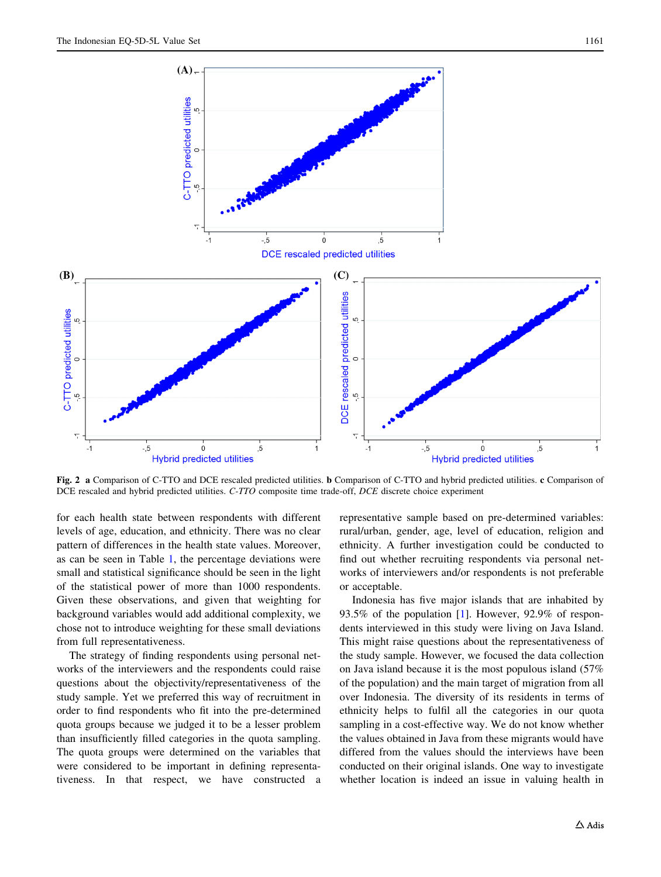<span id="page-8-0"></span>

Fig. 2 a Comparison of C-TTO and DCE rescaled predicted utilities. b Comparison of C-TTO and hybrid predicted utilities. c Comparison of DCE rescaled and hybrid predicted utilities. C-TTO composite time trade-off, DCE discrete choice experiment

for each health state between respondents with different levels of age, education, and ethnicity. There was no clear pattern of differences in the health state values. Moreover, as can be seen in Table [1,](#page-6-0) the percentage deviations were small and statistical significance should be seen in the light of the statistical power of more than 1000 respondents. Given these observations, and given that weighting for background variables would add additional complexity, we chose not to introduce weighting for these small deviations from full representativeness.

The strategy of finding respondents using personal networks of the interviewers and the respondents could raise questions about the objectivity/representativeness of the study sample. Yet we preferred this way of recruitment in order to find respondents who fit into the pre-determined quota groups because we judged it to be a lesser problem than insufficiently filled categories in the quota sampling. The quota groups were determined on the variables that were considered to be important in defining representativeness. In that respect, we have constructed a

representative sample based on pre-determined variables: rural/urban, gender, age, level of education, religion and ethnicity. A further investigation could be conducted to find out whether recruiting respondents via personal networks of interviewers and/or respondents is not preferable or acceptable.

Indonesia has five major islands that are inhabited by 93.5% of the population [\[1](#page-11-0)]. However, 92.9% of respondents interviewed in this study were living on Java Island. This might raise questions about the representativeness of the study sample. However, we focused the data collection on Java island because it is the most populous island (57% of the population) and the main target of migration from all over Indonesia. The diversity of its residents in terms of ethnicity helps to fulfil all the categories in our quota sampling in a cost-effective way. We do not know whether the values obtained in Java from these migrants would have differed from the values should the interviews have been conducted on their original islands. One way to investigate whether location is indeed an issue in valuing health in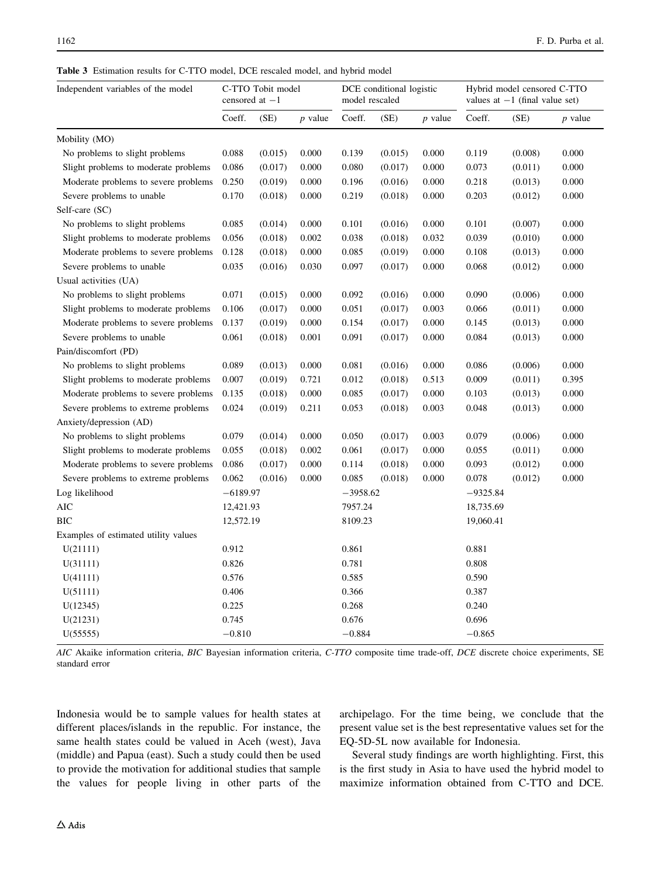<span id="page-9-0"></span>Table 3 Estimation results for C-TTO model, DCE rescaled model, and hybrid model

| Independent variables of the model   | C-TTO Tobit model<br>censored at $-1$ |         | DCE conditional logistic<br>model rescaled |            | Hybrid model censored C-TTO<br>values at $-1$ (final value set) |                |          |         |           |
|--------------------------------------|---------------------------------------|---------|--------------------------------------------|------------|-----------------------------------------------------------------|----------------|----------|---------|-----------|
|                                      | Coeff.                                | (SE)    | $p$ value                                  | Coeff.     | (SE)                                                            | <i>p</i> value | Coeff.   | (SE)    | $p$ value |
| Mobility (MO)                        |                                       |         |                                            |            |                                                                 |                |          |         |           |
| No problems to slight problems       | 0.088                                 | (0.015) | 0.000                                      | 0.139      | (0.015)                                                         | 0.000          | 0.119    | (0.008) | 0.000     |
| Slight problems to moderate problems | 0.086                                 | (0.017) | 0.000                                      | 0.080      | (0.017)                                                         | 0.000          | 0.073    | (0.011) | 0.000     |
| Moderate problems to severe problems | 0.250                                 | (0.019) | 0.000                                      | 0.196      | (0.016)                                                         | 0.000          | 0.218    | (0.013) | 0.000     |
| Severe problems to unable            | 0.170                                 | (0.018) | 0.000                                      | 0.219      | (0.018)                                                         | 0.000          | 0.203    | (0.012) | 0.000     |
| Self-care (SC)                       |                                       |         |                                            |            |                                                                 |                |          |         |           |
| No problems to slight problems       | 0.085                                 | (0.014) | 0.000                                      | 0.101      | (0.016)                                                         | 0.000          | 0.101    | (0.007) | 0.000     |
| Slight problems to moderate problems | 0.056                                 | (0.018) | 0.002                                      | 0.038      | (0.018)                                                         | 0.032          | 0.039    | (0.010) | 0.000     |
| Moderate problems to severe problems | 0.128                                 | (0.018) | 0.000                                      | 0.085      | (0.019)                                                         | 0.000          | 0.108    | (0.013) | 0.000     |
| Severe problems to unable            | 0.035                                 | (0.016) | 0.030                                      | 0.097      | (0.017)                                                         | 0.000          | 0.068    | (0.012) | 0.000     |
| Usual activities (UA)                |                                       |         |                                            |            |                                                                 |                |          |         |           |
| No problems to slight problems       | 0.071                                 | (0.015) | 0.000                                      | 0.092      | (0.016)                                                         | 0.000          | 0.090    | (0.006) | 0.000     |
| Slight problems to moderate problems | 0.106                                 | (0.017) | 0.000                                      | 0.051      | (0.017)                                                         | 0.003          | 0.066    | (0.011) | 0.000     |
| Moderate problems to severe problems | 0.137                                 | (0.019) | 0.000                                      | 0.154      | (0.017)                                                         | 0.000          | 0.145    | (0.013) | 0.000     |
| Severe problems to unable            | 0.061                                 | (0.018) | 0.001                                      | 0.091      | (0.017)                                                         | 0.000          | 0.084    | (0.013) | 0.000     |
| Pain/discomfort (PD)                 |                                       |         |                                            |            |                                                                 |                |          |         |           |
| No problems to slight problems       | 0.089                                 | (0.013) | 0.000                                      | 0.081      | (0.016)                                                         | 0.000          | 0.086    | (0.006) | 0.000     |
| Slight problems to moderate problems | 0.007                                 | (0.019) | 0.721                                      | 0.012      | (0.018)                                                         | 0.513          | 0.009    | (0.011) | 0.395     |
| Moderate problems to severe problems | 0.135                                 | (0.018) | 0.000                                      | 0.085      | (0.017)                                                         | 0.000          | 0.103    | (0.013) | 0.000     |
| Severe problems to extreme problems  | 0.024                                 | (0.019) | 0.211                                      | 0.053      | (0.018)                                                         | 0.003          | 0.048    | (0.013) | 0.000     |
| Anxiety/depression (AD)              |                                       |         |                                            |            |                                                                 |                |          |         |           |
| No problems to slight problems       | 0.079                                 | (0.014) | 0.000                                      | 0.050      | (0.017)                                                         | 0.003          | 0.079    | (0.006) | 0.000     |
| Slight problems to moderate problems | 0.055                                 | (0.018) | 0.002                                      | 0.061      | (0.017)                                                         | 0.000          | 0.055    | (0.011) | 0.000     |
| Moderate problems to severe problems | 0.086                                 | (0.017) | 0.000                                      | 0.114      | (0.018)                                                         | 0.000          | 0.093    | (0.012) | 0.000     |
| Severe problems to extreme problems  | 0.062                                 | (0.016) | 0.000                                      | 0.085      | (0.018)                                                         | 0.000          | 0.078    | (0.012) | 0.000     |
| Log likelihood                       | $-6189.97$                            |         |                                            | $-3958.62$ |                                                                 | $-9325.84$     |          |         |           |
| AIC                                  | 12,421.93                             |         |                                            | 7957.24    |                                                                 | 18,735.69      |          |         |           |
| <b>BIC</b>                           | 12,572.19                             |         | 8109.23                                    |            | 19,060.41                                                       |                |          |         |           |
| Examples of estimated utility values |                                       |         |                                            |            |                                                                 |                |          |         |           |
| U(21111)                             | 0.912                                 |         | 0.861                                      |            | 0.881                                                           |                |          |         |           |
| U(31111)                             | 0.826                                 |         | 0.781                                      |            | 0.808                                                           |                |          |         |           |
| U(41111)                             | 0.576                                 |         | 0.585                                      |            | 0.590                                                           |                |          |         |           |
| U(51111)                             | 0.406                                 |         | 0.366                                      |            | 0.387                                                           |                |          |         |           |
| U(12345)                             | 0.225                                 |         |                                            | 0.268      |                                                                 |                | 0.240    |         |           |
| U(21231)                             | 0.745                                 |         |                                            | 0.676      |                                                                 |                | 0.696    |         |           |
| U(55555)                             | $-0.810$                              |         |                                            | $-0.884$   |                                                                 |                | $-0.865$ |         |           |

AIC Akaike information criteria, BIC Bayesian information criteria, C-TTO composite time trade-off, DCE discrete choice experiments, SE standard error

Indonesia would be to sample values for health states at different places/islands in the republic. For instance, the same health states could be valued in Aceh (west), Java (middle) and Papua (east). Such a study could then be used to provide the motivation for additional studies that sample the values for people living in other parts of the archipelago. For the time being, we conclude that the present value set is the best representative values set for the EQ-5D-5L now available for Indonesia.

Several study findings are worth highlighting. First, this is the first study in Asia to have used the hybrid model to maximize information obtained from C-TTO and DCE.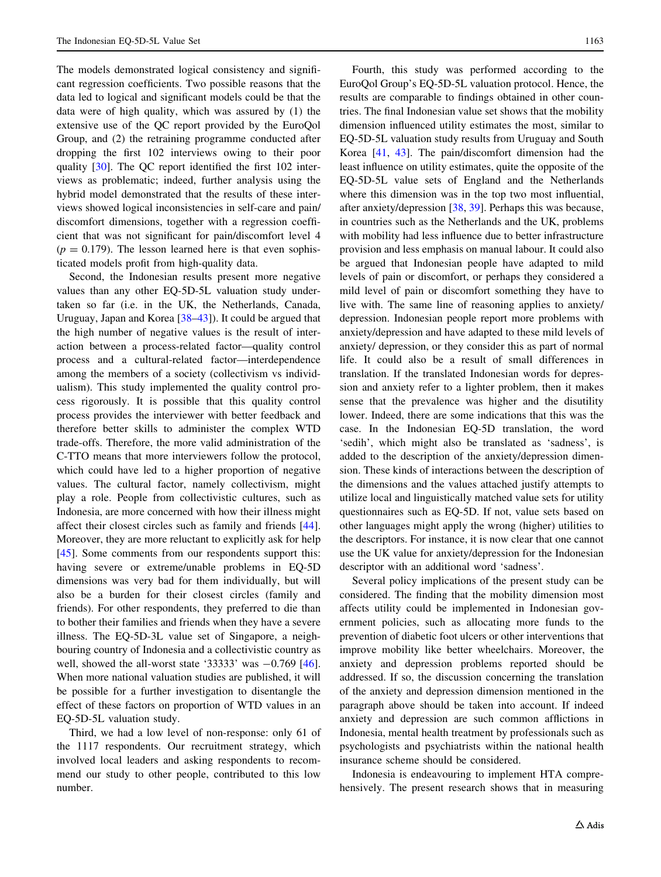The models demonstrated logical consistency and significant regression coefficients. Two possible reasons that the data led to logical and significant models could be that the data were of high quality, which was assured by (1) the extensive use of the QC report provided by the EuroQol Group, and (2) the retraining programme conducted after dropping the first 102 interviews owing to their poor quality [\[30](#page-12-0)]. The QC report identified the first 102 interviews as problematic; indeed, further analysis using the hybrid model demonstrated that the results of these interviews showed logical inconsistencies in self-care and pain/ discomfort dimensions, together with a regression coefficient that was not significant for pain/discomfort level 4  $(p = 0.179)$ . The lesson learned here is that even sophisticated models profit from high-quality data.

Second, the Indonesian results present more negative values than any other EQ-5D-5L valuation study undertaken so far (i.e. in the UK, the Netherlands, Canada, Uruguay, Japan and Korea [[38–43\]](#page-12-0)). It could be argued that the high number of negative values is the result of interaction between a process-related factor—quality control process and a cultural-related factor—interdependence among the members of a society (collectivism vs individualism). This study implemented the quality control process rigorously. It is possible that this quality control process provides the interviewer with better feedback and therefore better skills to administer the complex WTD trade-offs. Therefore, the more valid administration of the C-TTO means that more interviewers follow the protocol, which could have led to a higher proportion of negative values. The cultural factor, namely collectivism, might play a role. People from collectivistic cultures, such as Indonesia, are more concerned with how their illness might affect their closest circles such as family and friends [\[44](#page-12-0)]. Moreover, they are more reluctant to explicitly ask for help [\[45](#page-12-0)]. Some comments from our respondents support this: having severe or extreme/unable problems in EQ-5D dimensions was very bad for them individually, but will also be a burden for their closest circles (family and friends). For other respondents, they preferred to die than to bother their families and friends when they have a severe illness. The EQ-5D-3L value set of Singapore, a neighbouring country of Indonesia and a collectivistic country as well, showed the all-worst state '33333' was  $-0.769$  [\[46](#page-12-0)]. When more national valuation studies are published, it will be possible for a further investigation to disentangle the effect of these factors on proportion of WTD values in an EQ-5D-5L valuation study.

Third, we had a low level of non-response: only 61 of the 1117 respondents. Our recruitment strategy, which involved local leaders and asking respondents to recommend our study to other people, contributed to this low number.

Fourth, this study was performed according to the EuroQol Group's EQ-5D-5L valuation protocol. Hence, the results are comparable to findings obtained in other countries. The final Indonesian value set shows that the mobility dimension influenced utility estimates the most, similar to EQ-5D-5L valuation study results from Uruguay and South Korea [[41,](#page-12-0) [43](#page-12-0)]. The pain/discomfort dimension had the least influence on utility estimates, quite the opposite of the EQ-5D-5L value sets of England and the Netherlands where this dimension was in the top two most influential, after anxiety/depression [[38,](#page-12-0) [39\]](#page-12-0). Perhaps this was because, in countries such as the Netherlands and the UK, problems with mobility had less influence due to better infrastructure provision and less emphasis on manual labour. It could also be argued that Indonesian people have adapted to mild levels of pain or discomfort, or perhaps they considered a mild level of pain or discomfort something they have to live with. The same line of reasoning applies to anxiety/ depression. Indonesian people report more problems with anxiety/depression and have adapted to these mild levels of anxiety/ depression, or they consider this as part of normal life. It could also be a result of small differences in translation. If the translated Indonesian words for depression and anxiety refer to a lighter problem, then it makes sense that the prevalence was higher and the disutility lower. Indeed, there are some indications that this was the case. In the Indonesian EQ-5D translation, the word 'sedih', which might also be translated as 'sadness', is added to the description of the anxiety/depression dimension. These kinds of interactions between the description of the dimensions and the values attached justify attempts to utilize local and linguistically matched value sets for utility questionnaires such as EQ-5D. If not, value sets based on other languages might apply the wrong (higher) utilities to the descriptors. For instance, it is now clear that one cannot use the UK value for anxiety/depression for the Indonesian descriptor with an additional word 'sadness'.

Several policy implications of the present study can be considered. The finding that the mobility dimension most affects utility could be implemented in Indonesian government policies, such as allocating more funds to the prevention of diabetic foot ulcers or other interventions that improve mobility like better wheelchairs. Moreover, the anxiety and depression problems reported should be addressed. If so, the discussion concerning the translation of the anxiety and depression dimension mentioned in the paragraph above should be taken into account. If indeed anxiety and depression are such common afflictions in Indonesia, mental health treatment by professionals such as psychologists and psychiatrists within the national health insurance scheme should be considered.

Indonesia is endeavouring to implement HTA comprehensively. The present research shows that in measuring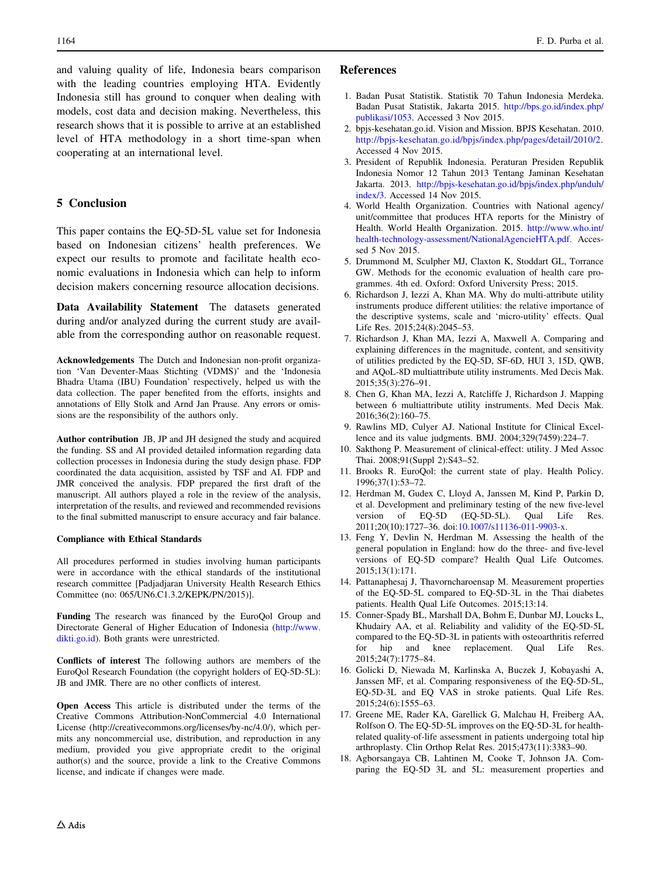<span id="page-11-0"></span>and valuing quality of life, Indonesia bears comparison with the leading countries employing HTA. Evidently Indonesia still has ground to conquer when dealing with models, cost data and decision making. Nevertheless, this research shows that it is possible to arrive at an established level of HTA methodology in a short time-span when cooperating at an international level.

# 5 Conclusion

This paper contains the EQ-5D-5L value set for Indonesia based on Indonesian citizens' health preferences. We expect our results to promote and facilitate health economic evaluations in Indonesia which can help to inform decision makers concerning resource allocation decisions.

Data Availability Statement The datasets generated during and/or analyzed during the current study are available from the corresponding author on reasonable request.

Acknowledgements The Dutch and Indonesian non-profit organization 'Van Deventer-Maas Stichting (VDMS)' and the 'Indonesia Bhadra Utama (IBU) Foundation' respectively, helped us with the data collection. The paper benefited from the efforts, insights and annotations of Elly Stolk and Arnd Jan Prause. Any errors or omissions are the responsibility of the authors only.

Author contribution JB, JP and JH designed the study and acquired the funding. SS and AI provided detailed information regarding data collection processes in Indonesia during the study design phase. FDP coordinated the data acquisition, assisted by TSF and AI. FDP and JMR conceived the analysis. FDP prepared the first draft of the manuscript. All authors played a role in the review of the analysis, interpretation of the results, and reviewed and recommended revisions to the final submitted manuscript to ensure accuracy and fair balance.

## Compliance with Ethical Standards

All procedures performed in studies involving human participants were in accordance with the ethical standards of the institutional research committee [Padjadjaran University Health Research Ethics Committee (no: 065/UN6.C1.3.2/KEPK/PN/2015)].

Funding The research was financed by the EuroQol Group and Directorate General of Higher Education of Indonesia [\(http://www.](http://www.dikti.go.id) [dikti.go.id\)](http://www.dikti.go.id). Both grants were unrestricted.

Conflicts of interest The following authors are members of the EuroQol Research Foundation (the copyright holders of EQ-5D-5L): JB and JMR. There are no other conflicts of interest.

Open Access This article is distributed under the terms of the Creative Commons Attribution-NonCommercial 4.0 International License (http://creativecommons.org/licenses/by-nc/4.0/), which permits any noncommercial use, distribution, and reproduction in any medium, provided you give appropriate credit to the original author(s) and the source, provide a link to the Creative Commons license, and indicate if changes were made.

# References

- 1. Badan Pusat Statistik. Statistik 70 Tahun Indonesia Merdeka. Badan Pusat Statistik, Jakarta 2015. [http://bps.go.id/index.php/](http://bps.go.id/index.php/publikasi/1053) [publikasi/1053](http://bps.go.id/index.php/publikasi/1053). Accessed 3 Nov 2015.
- 2. bpjs-kesehatan.go.id. Vision and Mission. BPJS Kesehatan. 2010. <http://bpjs-kesehatan.go.id/bpjs/index.php/pages/detail/2010/2>. Accessed 4 Nov 2015.
- 3. President of Republik Indonesia. Peraturan Presiden Republik Indonesia Nomor 12 Tahun 2013 Tentang Jaminan Kesehatan Jakarta. 2013. [http://bpjs-kesehatan.go.id/bpjs/index.php/unduh/](http://bpjs-kesehatan.go.id/bpjs/index.php/unduh/index/3) [index/3](http://bpjs-kesehatan.go.id/bpjs/index.php/unduh/index/3). Accessed 14 Nov 2015.
- 4. World Health Organization. Countries with National agency/ unit/committee that produces HTA reports for the Ministry of Health. World Health Organization. 2015. [http://www.who.int/](http://www.who.int/health-technology-assessment/NationalAgencieHTA.pdf) [health-technology-assessment/NationalAgencieHTA.pdf](http://www.who.int/health-technology-assessment/NationalAgencieHTA.pdf). Accessed 5 Nov 2015.
- 5. Drummond M, Sculpher MJ, Claxton K, Stoddart GL, Torrance GW. Methods for the economic evaluation of health care programmes. 4th ed. Oxford: Oxford University Press; 2015.
- 6. Richardson J, Iezzi A, Khan MA. Why do multi-attribute utility instruments produce different utilities: the relative importance of the descriptive systems, scale and 'micro-utility' effects. Qual Life Res. 2015;24(8):2045–53.
- 7. Richardson J, Khan MA, Iezzi A, Maxwell A. Comparing and explaining differences in the magnitude, content, and sensitivity of utilities predicted by the EQ-5D, SF-6D, HUI 3, 15D, QWB, and AQoL-8D multiattribute utility instruments. Med Decis Mak. 2015;35(3):276–91.
- 8. Chen G, Khan MA, Iezzi A, Ratcliffe J, Richardson J. Mapping between 6 multiattribute utility instruments. Med Decis Mak. 2016;36(2):160–75.
- 9. Rawlins MD, Culyer AJ. National Institute for Clinical Excellence and its value judgments. BMJ. 2004;329(7459):224–7.
- 10. Sakthong P. Measurement of clinical-effect: utility. J Med Assoc Thai. 2008;91(Suppl 2):S43–52.
- 11. Brooks R. EuroQol: the current state of play. Health Policy. 1996;37(1):53–72.
- 12. Herdman M, Gudex C, Lloyd A, Janssen M, Kind P, Parkin D, et al. Development and preliminary testing of the new five-level version of EQ-5D (EQ-5D-5L). Qual Life Res. 2011;20(10):1727–36. doi:[10.1007/s11136-011-9903-x](http://dx.doi.org/10.1007/s11136-011-9903-x).
- 13. Feng Y, Devlin N, Herdman M. Assessing the health of the general population in England: how do the three- and five-level versions of EQ-5D compare? Health Qual Life Outcomes. 2015;13(1):171.
- 14. Pattanaphesaj J, Thavorncharoensap M. Measurement properties of the EQ-5D-5L compared to EQ-5D-3L in the Thai diabetes patients. Health Qual Life Outcomes. 2015;13:14.
- 15. Conner-Spady BL, Marshall DA, Bohm E, Dunbar MJ, Loucks L, Khudairy AA, et al. Reliability and validity of the EQ-5D-5L compared to the EQ-5D-3L in patients with osteoarthritis referred for hip and knee replacement. Qual Life Res. 2015;24(7):1775–84.
- 16. Golicki D, Niewada M, Karlinska A, Buczek J, Kobayashi A, Janssen MF, et al. Comparing responsiveness of the EQ-5D-5L, EQ-5D-3L and EQ VAS in stroke patients. Qual Life Res. 2015;24(6):1555–63.
- 17. Greene ME, Rader KA, Garellick G, Malchau H, Freiberg AA, Rolfson O. The EQ-5D-5L improves on the EQ-5D-3L for healthrelated quality-of-life assessment in patients undergoing total hip arthroplasty. Clin Orthop Relat Res. 2015;473(11):3383–90.
- 18. Agborsangaya CB, Lahtinen M, Cooke T, Johnson JA. Comparing the EQ-5D 3L and 5L: measurement properties and